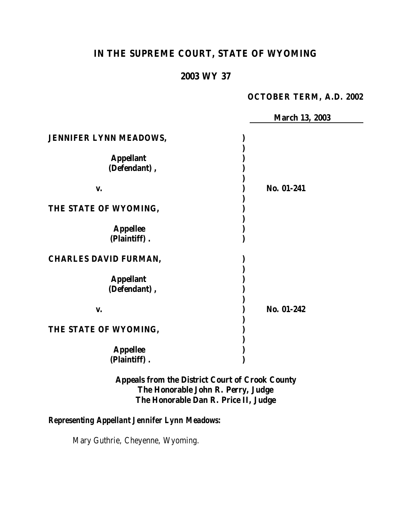# **IN THE SUPREME COURT, STATE OF WYOMING**

## **2003 WY 37**

#### **OCTOBER TERM, A.D. 2002**

|                                  | <b>March 13, 2003</b> |
|----------------------------------|-----------------------|
| <b>JENNIFER LYNN MEADOWS,</b>    |                       |
| <b>Appellant</b><br>(Defendant), |                       |
| V.                               | No. 01-241            |
| THE STATE OF WYOMING,            |                       |
| <b>Appellee</b><br>(Plaintiff).  |                       |
| <b>CHARLES DAVID FURMAN,</b>     |                       |
| <b>Appellant</b><br>(Defendant), |                       |
| V.                               | No. 01-242            |
| THE STATE OF WYOMING,            |                       |
| <b>Appellee</b><br>(Plaintiff).  |                       |

**Appeals from the District Court of Crook County The Honorable John R. Perry, Judge The Honorable Dan R. Price II, Judge**

## *Representing Appellant Jennifer Lynn Meadows:*

Mary Guthrie, Cheyenne, Wyoming.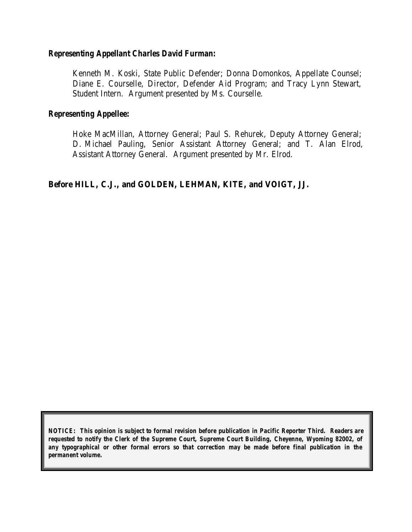#### *Representing Appellant Charles David Furman:*

Kenneth M. Koski, State Public Defender; Donna Domonkos, Appellate Counsel; Diane E. Courselle, Director, Defender Aid Program; and Tracy Lynn Stewart, Student Intern. Argument presented by Ms. Courselle.

#### *Representing Appellee:*

Hoke MacMillan, Attorney General; Paul S. Rehurek, Deputy Attorney General; D. Michael Pauling, Senior Assistant Attorney General; and T. Alan Elrod, Assistant Attorney General. Argument presented by Mr. Elrod.

## **Before HILL, C.J., and GOLDEN, LEHMAN, KITE, and VOIGT, JJ.**

*NOTICE: This opinion is subject to formal revision before publication in Pacific Reporter Third. Readers are requested to notify the Clerk of the Supreme Court, Supreme Court Building, Cheyenne, Wyoming 82002, of any typographical or other formal errors so that correction may be made before final publication in the permanent volume.*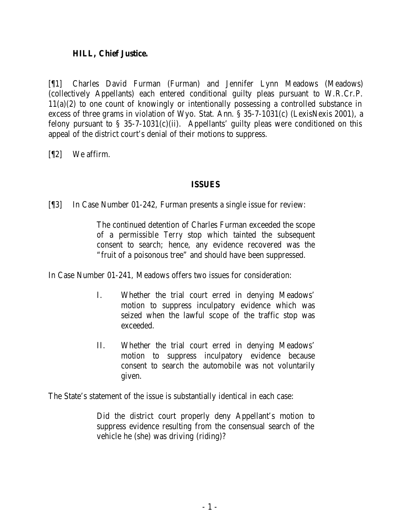#### **HILL, Chief Justice.**

[¶1] Charles David Furman (Furman) and Jennifer Lynn Meadows (Meadows) (collectively Appellants) each entered conditional guilty pleas pursuant to W.R.Cr.P. 11(a)(2) to one count of knowingly or intentionally possessing a controlled substance in excess of three grams in violation of Wyo. Stat. Ann. § 35-7-1031(c) (LexisNexis 2001), a felony pursuant to  $\S$  35-7-1031(c)(ii). Appellants' guilty pleas were conditioned on this appeal of the district court's denial of their motions to suppress.

[¶2] We affirm.

## **ISSUES**

[¶3] In Case Number 01-242, Furman presents a single issue for review:

The continued detention of Charles Furman exceeded the scope of a permissible *Terry* stop which tainted the subsequent consent to search; hence, any evidence recovered was the "fruit of a poisonous tree" and should have been suppressed.

In Case Number 01-241, Meadows offers two issues for consideration:

- I. Whether the trial court erred in denying Meadows' motion to suppress inculpatory evidence which was seized when the lawful scope of the traffic stop was exceeded.
- II. Whether the trial court erred in denying Meadows' motion to suppress inculpatory evidence because consent to search the automobile was not voluntarily given.

The State's statement of the issue is substantially identical in each case:

Did the district court properly deny Appellant's motion to suppress evidence resulting from the consensual search of the vehicle he (she) was driving (riding)?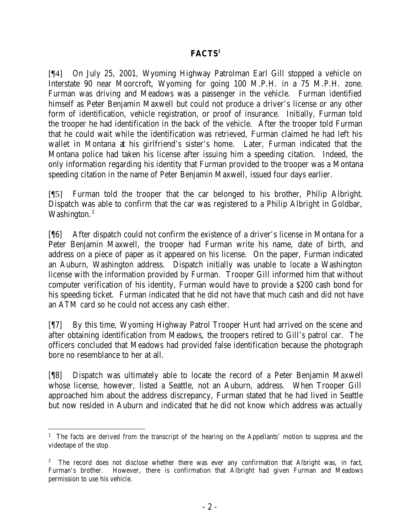## **FACTS<sup>1</sup>**

[¶4] On July 25, 2001, Wyoming Highway Patrolman Earl Gill stopped a vehicle on Interstate 90 near Moorcroft, Wyoming for going 100 M.P.H. in a 75 M.P.H. zone. Furman was driving and Meadows was a passenger in the vehicle. Furman identified himself as Peter Benjamin Maxwell but could not produce a driver's license or any other form of identification, vehicle registration, or proof of insurance. Initially, Furman told the trooper he had identification in the back of the vehicle. After the trooper told Furman that he could wait while the identification was retrieved, Furman claimed he had left his wallet in Montana at his girlfriend's sister's home. Later, Furman indicated that the Montana police had taken his license after issuing him a speeding citation. Indeed, the only information regarding his identity that Furman provided to the trooper was a Montana speeding citation in the name of Peter Benjamin Maxwell, issued four days earlier.

[¶5] Furman told the trooper that the car belonged to his brother, Philip Albright. Dispatch was able to confirm that the car was registered to a Philip Albright in Goldbar, Washington.<sup>2</sup>

[¶6] After dispatch could not confirm the existence of a driver's license in Montana for a Peter Benjamin Maxwell, the trooper had Furman write his name, date of birth, and address on a piece of paper as it appeared on his license. On the paper, Furman indicated an Auburn, Washington address. Dispatch initially was unable to locate a Washington license with the information provided by Furman. Trooper Gill informed him that without computer verification of his identity, Furman would have to provide a \$200 cash bond for his speeding ticket. Furman indicated that he did not have that much cash and did not have an ATM card so he could not access any cash either.

[¶7] By this time, Wyoming Highway Patrol Trooper Hunt had arrived on the scene and after obtaining identification from Meadows, the troopers retired to Gill's patrol car. The officers concluded that Meadows had provided false identification because the photograph bore no resemblance to her at all.

[¶8] Dispatch was ultimately able to locate the record of a Peter Benjamin Maxwell whose license, however, listed a Seattle, not an Auburn, address. When Trooper Gill approached him about the address discrepancy, Furman stated that he had lived in Seattle but now resided in Auburn and indicated that he did not know which address was actually

<sup>&</sup>lt;sup>1</sup> The facts are derived from the transcript of the hearing on the Appellants' motion to suppress and the videotape of the stop.

<sup>2</sup> The record does not disclose whether there was ever any confirmation that Albright was, in fact, Furman's brother. However, there is confirmation that Albright had given Furman and Meadows permission to use his vehicle.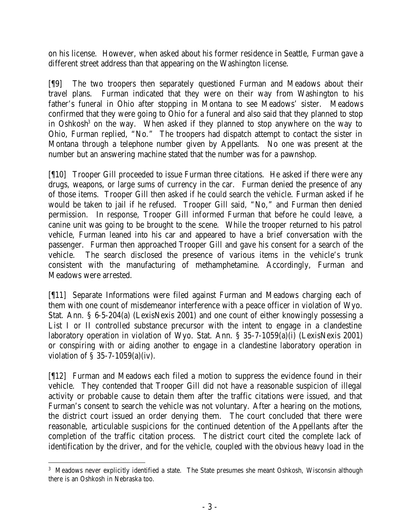on his license. However, when asked about his former residence in Seattle, Furman gave a different street address than that appearing on the Washington license.

[¶9] The two troopers then separately questioned Furman and Meadows about their travel plans. Furman indicated that they were on their way from Washington to his father's funeral in Ohio after stopping in Montana to see Meadows' sister. Meadows confirmed that they were going to Ohio for a funeral and also said that they planned to stop in Oshkosh<sup>3</sup> on the way. When asked if they planned to stop anywhere on the way to Ohio, Furman replied, "No." The troopers had dispatch attempt to contact the sister in Montana through a telephone number given by Appellants. No one was present at the number but an answering machine stated that the number was for a pawnshop.

[¶10] Trooper Gill proceeded to issue Furman three citations. He asked if there were any drugs, weapons, or large sums of currency in the car. Furman denied the presence of any of those items. Trooper Gill then asked if he could search the vehicle. Furman asked if he would be taken to jail if he refused. Trooper Gill said, "No," and Furman then denied permission. In response, Trooper Gill informed Furman that before he could leave, a canine unit was going to be brought to the scene. While the trooper returned to his patrol vehicle, Furman leaned into his car and appeared to have a brief conversation with the passenger. Furman then approached Trooper Gill and gave his consent for a search of the vehicle. The search disclosed the presence of various items in the vehicle's trunk consistent with the manufacturing of methamphetamine. Accordingly, Furman and Meadows were arrested.

[¶11] Separate Informations were filed against Furman and Meadows charging each of them with one count of misdemeanor interference with a peace officer in violation of Wyo. Stat. Ann. § 6-5-204(a) (LexisNexis 2001) and one count of either knowingly possessing a List I or II controlled substance precursor with the intent to engage in a clandestine laboratory operation in violation of Wyo. Stat. Ann. § 35-7-1059(a)(i) (LexisNexis 2001) or conspiring with or aiding another to engage in a clandestine laboratory operation in violation of § 35-7-1059(a)(iv).

[¶12] Furman and Meadows each filed a motion to suppress the evidence found in their vehicle. They contended that Trooper Gill did not have a reasonable suspicion of illegal activity or probable cause to detain them after the traffic citations were issued, and that Furman's consent to search the vehicle was not voluntary. After a hearing on the motions, the district court issued an order denying them. The court concluded that there were reasonable, articulable suspicions for the continued detention of the Appellants after the completion of the traffic citation process. The district court cited the complete lack of identification by the driver, and for the vehicle, coupled with the obvious heavy load in the

 <sup>3</sup> Meadows never explicitly identified a state. The State presumes she meant Oshkosh, Wisconsin although there is an Oshkosh in Nebraska too.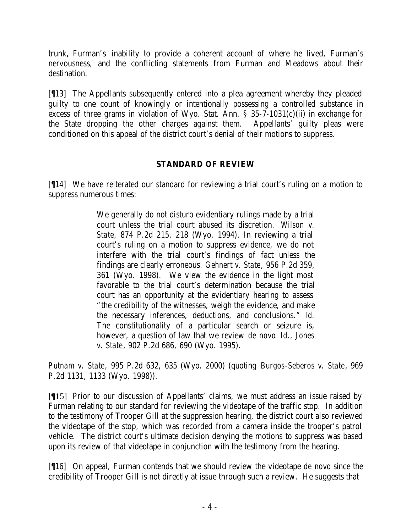trunk, Furman's inability to provide a coherent account of where he lived, Furman's nervousness, and the conflicting statements from Furman and Meadows about their destination.

[¶13] The Appellants subsequently entered into a plea agreement whereby they pleaded guilty to one count of knowingly or intentionally possessing a controlled substance in excess of three grams in violation of Wyo. Stat. Ann. § 35-7-1031(c)(ii) in exchange for the State dropping the other charges against them. Appellants' guilty pleas were conditioned on this appeal of the district court's denial of their motions to suppress.

## **STANDARD OF REVIEW**

[¶14] We have reiterated our standard for reviewing a trial court's ruling on a motion to suppress numerous times:

> We generally do not disturb evidentiary rulings made by a trial court unless the trial court abused its discretion. *Wilson v. State*, 874 P.2d 215, 218 (Wyo. 1994). In reviewing a trial court's ruling on a motion to suppress evidence, we do not interfere with the trial court's findings of fact unless the findings are clearly erroneous. *Gehnert v. State*, 956 P.2d 359, 361 (Wyo. 1998). We view the evidence in the light most favorable to the trial court's determination because the trial court has an opportunity at the evidentiary hearing to assess "the credibility of the witnesses, weigh the evidence, and make the necessary inferences, deductions, and conclusions." *Id.* The constitutionality of a particular search or seizure is, however, a question of law that we review *de novo*. *Id., Jones v. State*, 902 P.2d 686, 690 (Wyo. 1995).

*Putnam v. State*, 995 P.2d 632, 635 (Wyo. 2000) (quoting *Burgos-Seberos v. State*, 969 P.2d 1131, 1133 (Wyo. 1998)).

[¶15] Prior to our discussion of Appellants' claims, we must address an issue raised by Furman relating to our standard for reviewing the videotape of the traffic stop. In addition to the testimony of Trooper Gill at the suppression hearing, the district court also reviewed the videotape of the stop, which was recorded from a camera inside the trooper's patrol vehicle. The district court's ultimate decision denying the motions to suppress was based upon its review of that videotape in conjunction with the testimony from the hearing.

[¶16] On appeal, Furman contends that we should review the videotape *de novo* since the credibility of Trooper Gill is not directly at issue through such a review. He suggests that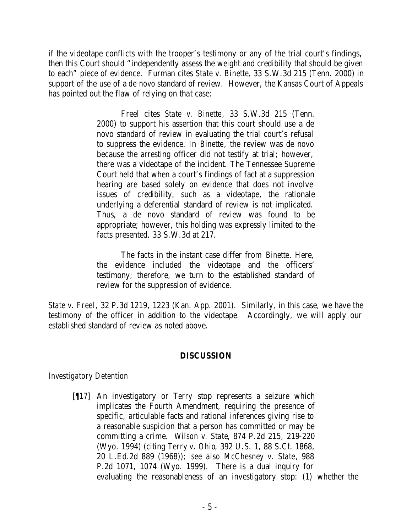if the videotape conflicts with the trooper's testimony or any of the trial court's findings, then this Court should "independently assess the weight and credibility that should be given to each" piece of evidence. Furman cites *State v. Binette*, 33 S.W.3d 215 (Tenn. 2000) in support of the use of a *de novo* standard of review. However, the Kansas Court of Appeals has pointed out the flaw of relying on that case:

> Freel cites *State v. Binette*, 33 S.W.3d 215 (Tenn. 2000) to support his assertion that this court should use a de novo standard of review in evaluating the trial court's refusal to suppress the evidence. In *Binette*, the review was de novo because the arresting officer did not testify at trial; however, there was a videotape of the incident. The Tennessee Supreme Court held that when a court's findings of fact at a suppression hearing are based solely on evidence that does not involve issues of credibility, such as a videotape, the rationale underlying a deferential standard of review is not implicated. Thus, a de novo standard of review was found to be appropriate; however, this holding was expressly limited to the facts presented. 33 S.W.3d at 217.

> The facts in the instant case differ from *Binette*. Here, the evidence included the videotape and the officers' testimony; therefore, we turn to the established standard of review for the suppression of evidence.

*State v. Freel*, 32 P.3d 1219, 1223 (Kan. App. 2001). Similarly, in this case, we have the testimony of the officer in addition to the videotape. Accordingly, we will apply our established standard of review as noted above.

## **DISCUSSION**

## *Investigatory Detention*

[¶17] An investigatory or *Terry* stop represents a seizure which implicates the Fourth Amendment, requiring the presence of specific, articulable facts and rational inferences giving rise to a reasonable suspicion that a person has committed or may be committing a crime. *Wilson v. State*, 874 P.2d 215, 219-220 (Wyo. 1994) (citing *Terry v. Ohio*, 392 U.S. 1, 88 S.Ct. 1868, 20 L.Ed.2d 889 (1968)); *see also McChesney v. State*, 988 P.2d 1071, 1074 (Wyo. 1999). There is a dual inquiry for evaluating the reasonableness of an investigatory stop: (1) whether the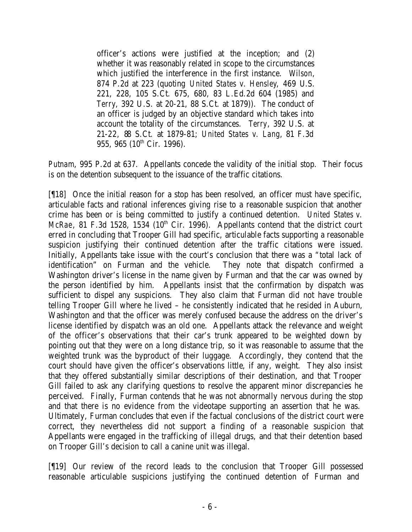officer's actions were justified at the inception; and (2) whether it was reasonably related in scope to the circumstances which justified the interference in the first instance. *Wilson*, 874 P.2d at 223 (quoting *United States v. Hensley*, 469 U.S. 221, 228, 105 S.Ct. 675, 680, 83 L.Ed.2d 604 (1985) and *Terry*, 392 U.S. at 20-21, 88 S.Ct. at 1879)). The conduct of an officer is judged by an objective standard which takes into account the totality of the circumstances. *Terry*, 392 U.S. at 21-22, 88 S.Ct. at 1879-81; *United States v. Lang*, 81 F.3d 955, 965 (10<sup>th</sup> Cir. 1996).

*Putnam*, 995 P.2d at 637. Appellants concede the validity of the initial stop. Their focus is on the detention subsequent to the issuance of the traffic citations.

[¶18] Once the initial reason for a stop has been resolved, an officer must have specific, articulable facts and rational inferences giving rise to a reasonable suspicion that another crime has been or is being committed to justify a continued detention. *United States v. McRae*, 81 F.3d 1528, 1534 (10<sup>th</sup> Cir. 1996). Appellants contend that the district court erred in concluding that Trooper Gill had specific, articulable facts supporting a reasonable suspicion justifying their continued detention after the traffic citations were issued. Initially, Appellants take issue with the court's conclusion that there was a "total lack of identification" on Furman and the vehicle. They note that dispatch confirmed a Washington driver's license in the name given by Furman and that the car was owned by the person identified by him. Appellants insist that the confirmation by dispatch was sufficient to dispel any suspicions. They also claim that Furman did not have trouble telling Trooper Gill where he lived – he consistently indicated that he resided in Auburn, Washington and that the officer was merely confused because the address on the driver's license identified by dispatch was an old one. Appellants attack the relevance and weight of the officer's observations that their car's trunk appeared to be weighted down by pointing out that they were on a long distance trip, so it was reasonable to assume that the weighted trunk was the byproduct of their luggage. Accordingly, they contend that the court should have given the officer's observations little, if any, weight. They also insist that they offered substantially similar descriptions of their destination, and that Trooper Gill failed to ask any clarifying questions to resolve the apparent minor discrepancies he perceived. Finally, Furman contends that he was not abnormally nervous during the stop and that there is no evidence from the videotape supporting an assertion that he was. Ultimately, Furman concludes that even if the factual conclusions of the district court were correct, they nevertheless did not support a finding of a reasonable suspicion that Appellants were engaged in the trafficking of illegal drugs, and that their detention based on Trooper Gill's decision to call a canine unit was illegal.

[¶19] Our review of the record leads to the conclusion that Trooper Gill possessed reasonable articulable suspicions justifying the continued detention of Furman and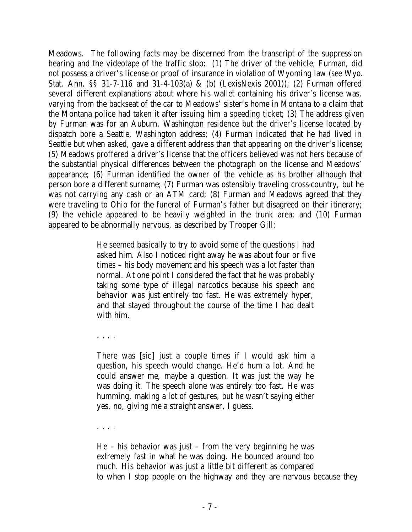Meadows. The following facts may be discerned from the transcript of the suppression hearing and the videotape of the traffic stop: (1) The driver of the vehicle, Furman, did not possess a driver's license or proof of insurance in violation of Wyoming law (*see* Wyo. Stat. Ann. §§ 31-7-116 and 31-4-103(a) & (b) (LexisNexis 2001)); (2) Furman offered several different explanations about where his wallet containing his driver's license was, varying from the backseat of the car to Meadows' sister's home in Montana to a claim that the Montana police had taken it after issuing him a speeding ticket; (3) The address given by Furman was for an Auburn, Washington residence but the driver's license located by dispatch bore a Seattle, Washington address; (4) Furman indicated that he had lived in Seattle but when asked, gave a different address than that appearing on the driver's license; (5) Meadows proffered a driver's license that the officers believed was not hers because of the substantial physical differences between the photograph on the license and Meadows' appearance; (6) Furman identified the owner of the vehicle as his brother although that person bore a different surname; (7) Furman was ostensibly traveling cross-country, but he was not carrying any cash or an ATM card; (8) Furman and Meadows agreed that they were traveling to Ohio for the funeral of Furman's father but disagreed on their itinerary; (9) the vehicle appeared to be heavily weighted in the trunk area; and (10) Furman appeared to be abnormally nervous, as described by Trooper Gill:

> He seemed basically to try to avoid some of the questions I had asked him. Also I noticed right away he was about four or five times – his body movement and his speech was a lot faster than normal. At one point I considered the fact that he was probably taking some type of illegal narcotics because his speech and behavior was just entirely too fast. He was extremely hyper, and that stayed throughout the course of the time I had dealt with him.

. . . .

There was [*sic*] just a couple times if I would ask him a question, his speech would change. He'd hum a lot. And he could answer me, maybe a question. It was just the way he was doing it. The speech alone was entirely too fast. He was humming, making a lot of gestures, but he wasn't saying either yes, no, giving me a straight answer, I guess.

. . . .

He – his behavior was just – from the very beginning he was extremely fast in what he was doing. He bounced around too much. His behavior was just a little bit different as compared to when I stop people on the highway and they are nervous because they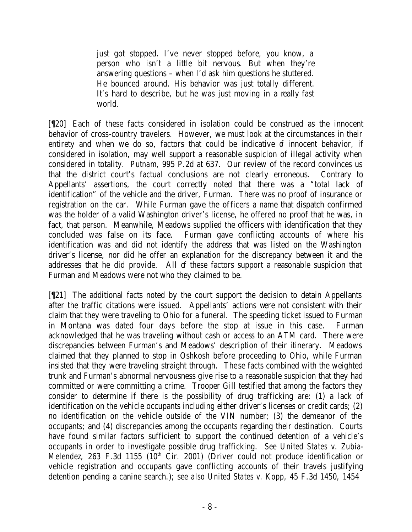just got stopped. I've never stopped before, you know, a person who isn't a little bit nervous. But when they're answering questions – when I'd ask him questions he stuttered. He bounced around. His behavior was just totally different. It's hard to describe, but he was just moving in a really fast world.

[¶20] Each of these facts considered in isolation could be construed as the innocent behavior of cross-country travelers. However, we must look at the circumstances in their entirety and when we do so, factors that could be indicative  $\sigma$  innocent behavior, if considered in isolation, may well support a reasonable suspicion of illegal activity when considered in totality. *Putnam*, 995 P.2d at 637. Our review of the record convinces us that the district court's factual conclusions are not clearly erroneous. Contrary to Appellants' assertions, the court correctly noted that there was a "total lack of identification" of the vehicle and the driver, Furman. There was no proof of insurance or registration on the car. While Furman gave the officers a name that dispatch confirmed was the holder of a valid Washington driver's license, he offered no proof that he was, in fact, that person. Meanwhile, Meadows supplied the officers with identification that they concluded was false on its face. Furman gave conflicting accounts of where his identification was and did not identify the address that was listed on the Washington driver's license, nor did he offer an explanation for the discrepancy between it and the addresses that he did provide. All of these factors support a reasonable suspicion that Furman and Meadows were not who they claimed to be.

[¶21] The additional facts noted by the court support the decision to detain Appellants after the traffic citations were issued. Appellants' actions were not consistent with their claim that they were traveling to Ohio for a funeral. The speeding ticket issued to Furman in Montana was dated four days before the stop at issue in this case. Furman acknowledged that he was traveling without cash or access to an ATM card. There were discrepancies between Furman's and Meadows' description of their itinerary. Meadows claimed that they planned to stop in Oshkosh before proceeding to Ohio, while Furman insisted that they were traveling straight through. These facts combined with the weighted trunk and Furman's abnormal nervousness give rise to a reasonable suspicion that they had committed or were committing a crime. Trooper Gill testified that among the factors they consider to determine if there is the possibility of drug trafficking are: (1) a lack of identification on the vehicle occupants including either driver's licenses or credit cards; (2) no identification on the vehicle outside of the VIN number; (3) the demeanor of the occupants; and (4) discrepancies among the occupants regarding their destination. Courts have found similar factors sufficient to support the continued detention of a vehicle's occupants in order to investigate possible drug trafficking. *See United States v. Zubia-Melendez*, 263 F.3d 1155 (10<sup>th</sup> Cir. 2001) (Driver could not produce identification or vehicle registration and occupants gave conflicting accounts of their travels justifying detention pending a canine search.); s*ee also United States v. Kopp*, 45 F.3d 1450, 1454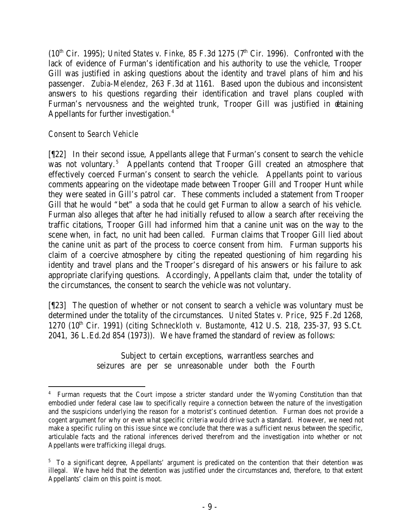$(10<sup>th</sup> Cir. 1995)$ ; *United States v. Finke*, 85 F.3d 1275 ( $7<sup>th</sup> Cir. 1996$ ). Confronted with the lack of evidence of Furman's identification and his authority to use the vehicle, Trooper Gill was justified in asking questions about the identity and travel plans of him and his passenger. *Zubia-Melendez*, 263 F.3d at 1161. Based upon the dubious and inconsistent answers to his questions regarding their identification and travel plans coupled with Furman's nervousness and the weighted trunk, Trooper Gill was justified in detaining Appellants for further investigation.<sup>4</sup>

## *Consent to Search Vehicle*

[¶22] In their second issue, Appellants allege that Furman's consent to search the vehicle was not voluntary.<sup>5</sup> Appellants contend that Trooper Gill created an atmosphere that effectively coerced Furman's consent to search the vehicle. Appellants point to various comments appearing on the videotape made between Trooper Gill and Trooper Hunt while they were seated in Gill's patrol car. These comments included a statement from Trooper Gill that he would "bet" a soda that he could get Furman to allow a search of his vehicle. Furman also alleges that after he had initially refused to allow a search after receiving the traffic citations, Trooper Gill had informed him that a canine unit was on the way to the scene when, in fact, no unit had been called. Furman claims that Trooper Gill lied about the canine unit as part of the process to coerce consent from him. Furman supports his claim of a coercive atmosphere by citing the repeated questioning of him regarding his identity and travel plans and the Trooper's disregard of his answers or his failure to ask appropriate clarifying questions. Accordingly, Appellants claim that, under the totality of the circumstances, the consent to search the vehicle was not voluntary.

[¶23] The question of whether or not consent to search a vehicle was voluntary must be determined under the totality of the circumstances. *United States v. Price*, 925 F.2d 1268, 1270 (10th Cir. 1991) (citing *Schneckloth v. Bustamonte*, 412 U.S. 218, 235-37, 93 S.Ct. 2041, 36 L.Ed.2d 854 (1973)). We have framed the standard of review as follows:

> Subject to certain exceptions, warrantless searches and seizures are per se unreasonable under both the Fourth

<sup>4</sup> Furman requests that the Court impose a stricter standard under the Wyoming Constitution than that embodied under federal case law to specifically require a connection between the nature of the investigation and the suspicions underlying the reason for a motorist's continued detention. Furman does not provide a cogent argument for why or even what specific criteria would drive such a standard. However, we need not make a specific ruling on this issue since we conclude that there was a sufficient nexus between the specific, articulable facts and the rational inferences derived therefrom and the investigation into whether or not Appellants were trafficking illegal drugs.

<sup>&</sup>lt;sup>5</sup> To a significant degree, Appellants' argument is predicated on the contention that their detention was illegal. We have held that the detention was justified under the circumstances and, therefore, to that extent Appellants' claim on this point is moot.